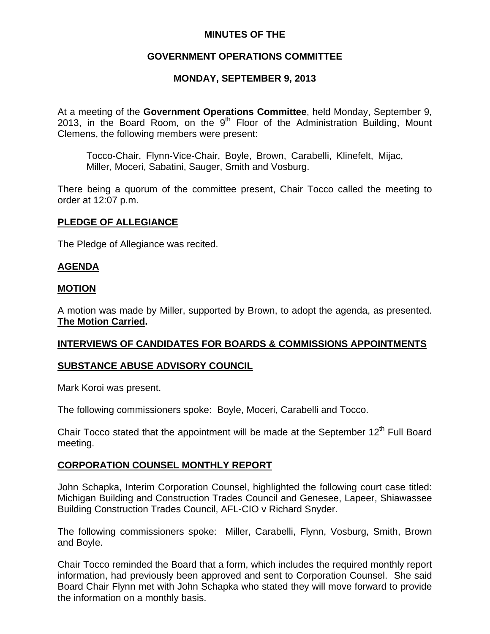## **MINUTES OF THE**

## **GOVERNMENT OPERATIONS COMMITTEE**

## **MONDAY, SEPTEMBER 9, 2013**

At a meeting of the **Government Operations Committee**, held Monday, September 9, 2013, in the Board Room, on the  $9<sup>th</sup>$  Floor of the Administration Building, Mount Clemens, the following members were present:

Tocco-Chair, Flynn-Vice-Chair, Boyle, Brown, Carabelli, Klinefelt, Mijac, Miller, Moceri, Sabatini, Sauger, Smith and Vosburg.

There being a quorum of the committee present, Chair Tocco called the meeting to order at 12:07 p.m.

## **PLEDGE OF ALLEGIANCE**

The Pledge of Allegiance was recited.

## **AGENDA**

#### **MOTION**

A motion was made by Miller, supported by Brown, to adopt the agenda, as presented. **The Motion Carried.** 

## **INTERVIEWS OF CANDIDATES FOR BOARDS & COMMISSIONS APPOINTMENTS**

## **SUBSTANCE ABUSE ADVISORY COUNCIL**

Mark Koroi was present.

The following commissioners spoke: Boyle, Moceri, Carabelli and Tocco.

Chair Tocco stated that the appointment will be made at the September  $12<sup>th</sup>$  Full Board meeting.

## **CORPORATION COUNSEL MONTHLY REPORT**

John Schapka, Interim Corporation Counsel, highlighted the following court case titled: Michigan Building and Construction Trades Council and Genesee, Lapeer, Shiawassee Building Construction Trades Council, AFL-CIO v Richard Snyder.

The following commissioners spoke: Miller, Carabelli, Flynn, Vosburg, Smith, Brown and Boyle.

Chair Tocco reminded the Board that a form, which includes the required monthly report information, had previously been approved and sent to Corporation Counsel. She said Board Chair Flynn met with John Schapka who stated they will move forward to provide the information on a monthly basis.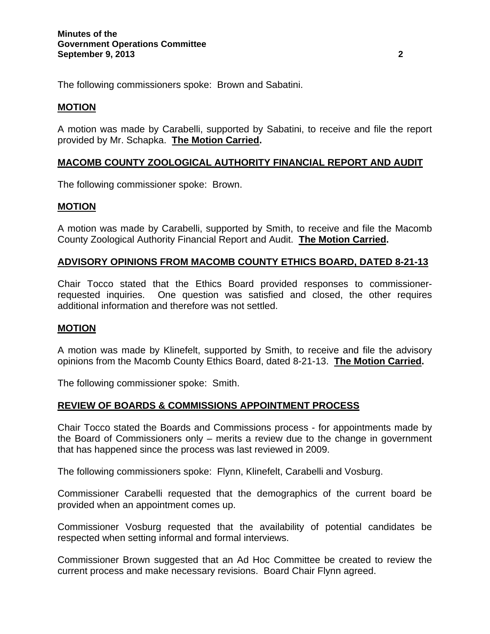The following commissioners spoke: Brown and Sabatini.

## **MOTION**

A motion was made by Carabelli, supported by Sabatini, to receive and file the report provided by Mr. Schapka. **The Motion Carried.** 

## **MACOMB COUNTY ZOOLOGICAL AUTHORITY FINANCIAL REPORT AND AUDIT**

The following commissioner spoke: Brown.

## **MOTION**

A motion was made by Carabelli, supported by Smith, to receive and file the Macomb County Zoological Authority Financial Report and Audit. **The Motion Carried.** 

## **ADVISORY OPINIONS FROM MACOMB COUNTY ETHICS BOARD, DATED 8-21-13**

Chair Tocco stated that the Ethics Board provided responses to commissionerrequested inquiries. One question was satisfied and closed, the other requires additional information and therefore was not settled.

## **MOTION**

A motion was made by Klinefelt, supported by Smith, to receive and file the advisory opinions from the Macomb County Ethics Board, dated 8-21-13. **The Motion Carried.** 

The following commissioner spoke: Smith.

## **REVIEW OF BOARDS & COMMISSIONS APPOINTMENT PROCESS**

Chair Tocco stated the Boards and Commissions process - for appointments made by the Board of Commissioners only – merits a review due to the change in government that has happened since the process was last reviewed in 2009.

The following commissioners spoke: Flynn, Klinefelt, Carabelli and Vosburg.

Commissioner Carabelli requested that the demographics of the current board be provided when an appointment comes up.

Commissioner Vosburg requested that the availability of potential candidates be respected when setting informal and formal interviews.

Commissioner Brown suggested that an Ad Hoc Committee be created to review the current process and make necessary revisions. Board Chair Flynn agreed.